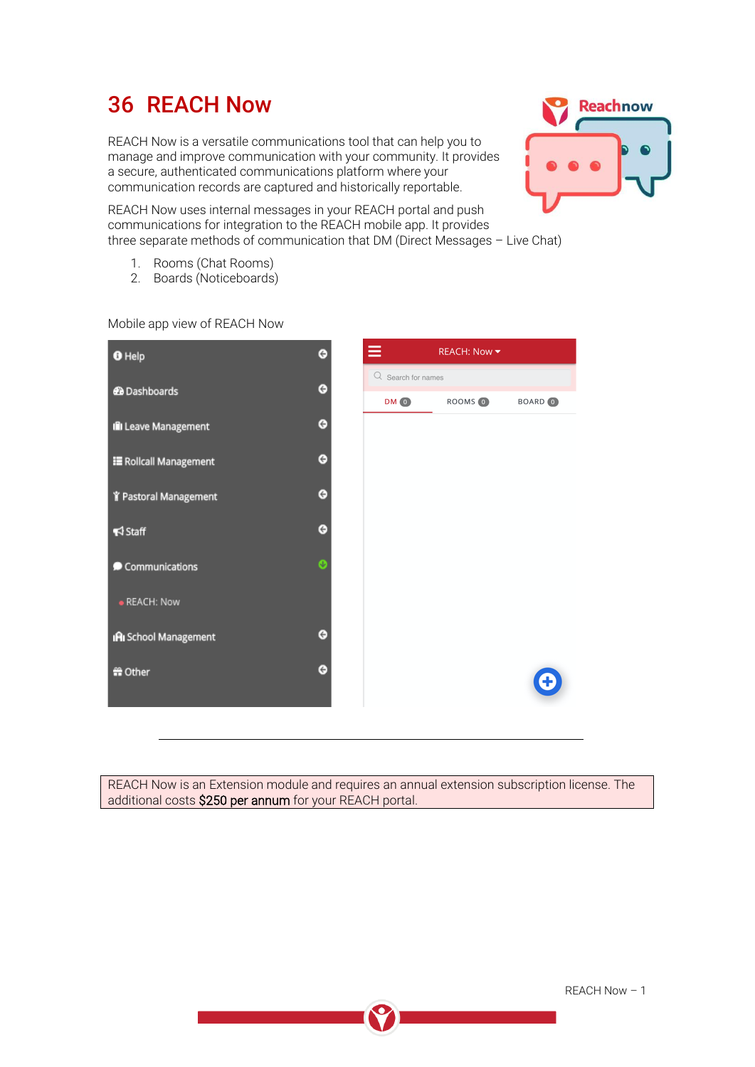# 36 REACH Now

REACH Now is a versatile communications tool that can help you to manage and improve communication with your community. It provides a secure, authenticated communications platform where your communication records are captured and historically reportable.



REACH Now uses internal messages in your REACH portal and push communications for integration to the REACH mobile app. It provides three separate methods of communication that DM (Direct Messages – Live Chat)

- 1. Rooms (Chat Rooms)
- 2. Boards (Noticeboards)

| <b>O</b> Help                | Θ                     | Ξ<br><b>REACH: Now ▼</b> |                    |              |
|------------------------------|-----------------------|--------------------------|--------------------|--------------|
| <b>2</b> Dashboards          | $\bullet$             | Q Search for names       |                    |              |
|                              |                       | DM O                     | ROOMS <sup>O</sup> | <b>BOARD</b> |
| Ill Leave Management         | $\bullet$             |                          |                    |              |
| E Rollcall Management        | $\bullet$             |                          |                    |              |
| Y Pastoral Management        | Θ                     |                          |                    |              |
| $\blacktriangleleft$ Staff   | ⊖                     |                          |                    |              |
|                              |                       |                          |                    |              |
| Communications               | $\boldsymbol{\Theta}$ |                          |                    |              |
| · REACH: Now                 |                       |                          |                    |              |
| <b>IRI</b> School Management | Θ                     |                          |                    |              |
| <sub>1</sub> Other           | ⊖                     |                          |                    |              |
|                              |                       |                          |                    |              |

Mobile app view of REACH Now

REACH Now is an Extension module and requires an annual extension subscription license. The additional costs \$250 per annum for your REACH portal.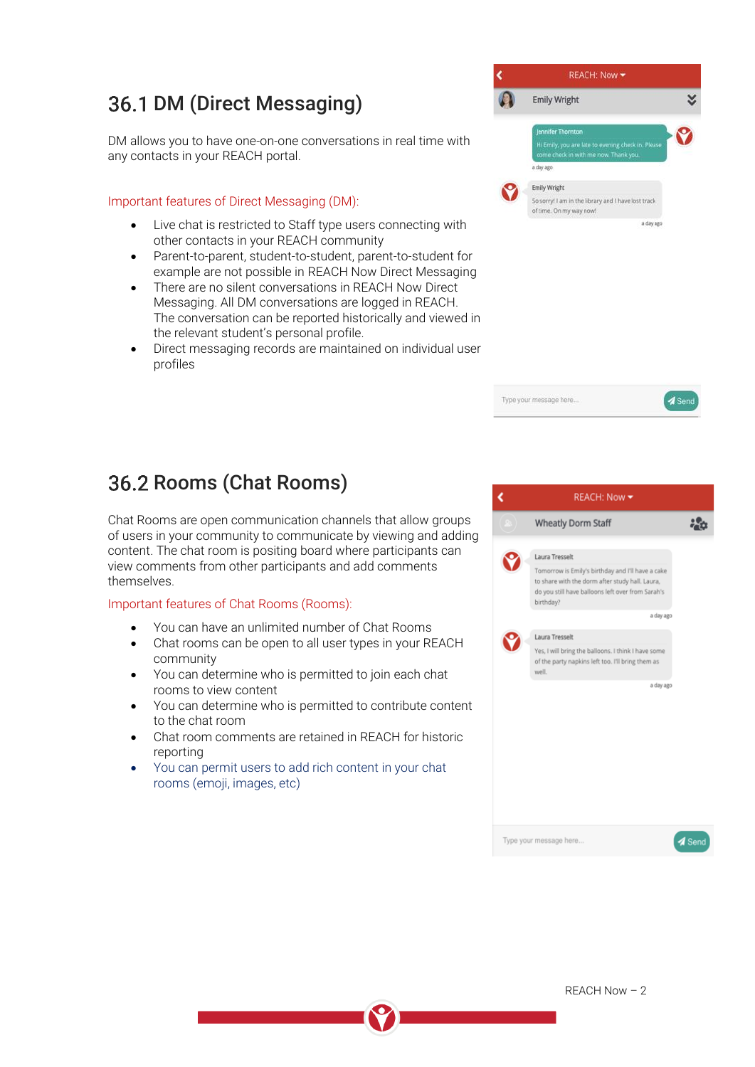## 36.1 DM (Direct Messaging)

DM allows you to have one-on-one conversations in real time with any contacts in your REACH portal.

Important features of Direct Messaging (DM):

- Live chat is restricted to Staff type users connecting with other contacts in your REACH community
- Parent-to-parent, student-to-student, parent-to-student for example are not possible in REACH Now Direct Messaging
- There are no silent conversations in REACH Now Direct Messaging. All DM conversations are logged in REACH. The conversation can be reported historically and viewed in the relevant student's personal profile.
- Direct messaging records are maintained on individual user profiles





## 36.2 Rooms (Chat Rooms)

Chat Rooms are open communication channels that allow groups of users in your community to communicate by viewing and adding content. The chat room is positing board where participants can view comments from other participants and add comments themselves.

#### Important features of Chat Rooms (Rooms):

- You can have an unlimited number of Chat Rooms
- Chat rooms can be open to all user types in your REACH community
- You can determine who is permitted to join each chat rooms to view content
- You can determine who is permitted to contribute content to the chat room
- Chat room comments are retained in REACH for historic reporting
- You can permit users to add rich content in your chat rooms (emoji, images, etc)